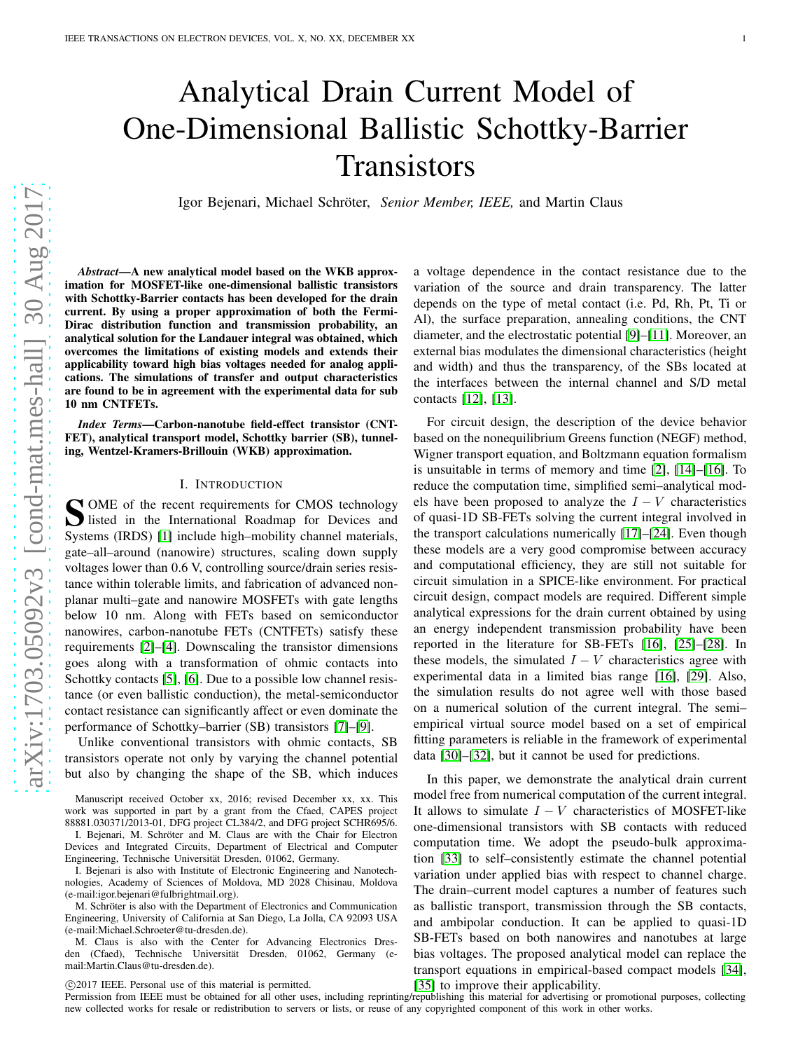# Analytical Drain Current Model of One-Dimensional Ballistic Schottky-Barrier **Transistors**

Igor Bejenari, Michael Schröter, *Senior Member, IEEE*, and Martin Claus

*Abstract*—A new analytical model based on the WKB approximation for MOSFET-like one-dimensional ballistic transistors with Schottky-Barrier contacts has been developed for the drain current. By using a proper approximation of both the Fermi-Dirac distribution function and transmission probability, an analytical solution for the Landauer integral was obtained, which overcomes the limitations of existing models and extends their applicability toward high bias voltages needed for analog applications. The simulations of transfer and output characteristics are found to be in agreement with the experimental data for sub 10 nm CNTFETs.

*Index Terms*—Carbon-nanotube field-effect transistor (CNT-FET), analytical transport model, Schottky barrier (SB), tunneling, Wentzel-Kramers-Brillouin (WKB) approximation.

### I. INTRODUCTION

S OME of the recent requirements for CMOS technology<br>listed in the International Roadmap for Devices and listed in the International Roadmap for Devices and Systems (IRDS) [\[1\]](#page-6-0) include high–mobility channel materials, gate–all–around (nanowire) structures, scaling down supply voltages lower than 0.6 V, controlling source/drain series resistance within tolerable limits, and fabrication of advanced nonplanar multi–gate and nanowire MOSFETs with gate lengths below 10 nm. Along with FETs based on semiconductor nanowires, carbon-nanotube FETs (CNTFETs) satisfy these requirements [\[2\]](#page-6-1)–[\[4\]](#page-6-2). Downscaling the transistor dimensions goes along with a transformation of ohmic contacts into Schottky contacts [\[5\]](#page-6-3), [\[6\]](#page-6-4). Due to a possible low channel resistance (or even ballistic conduction), the metal-semiconductor contact resistance can significantly affect or even dominate the performance of Schottky–barrier (SB) transistors [\[7\]](#page-6-5)–[\[9\]](#page-6-6).

Unlike conventional transistors with ohmic contacts, SB transistors operate not only by varying the channel potential but also by changing the shape of the SB, which induces

Manuscript received October xx, 2016; revised December xx, xx. This work was supported in part by a grant from the Cfaed, CAPES project 88881.030371/2013-01, DFG project CL384/2, and DFG project SCHR695/6.

I. Bejenari, M. Schröter and M. Claus are with the Chair for Electron Devices and Integrated Circuits, Department of Electrical and Computer Engineering, Technische Universität Dresden, 01062, Germany.

I. Bejenari is also with Institute of Electronic Engineering and Nanotechnologies, Academy of Sciences of Moldova, MD 2028 Chisinau, Moldova (e-mail:igor.bejenari@fulbrightmail.org).

M. Schröter is also with the Department of Electronics and Communication Engineering, University of California at San Diego, La Jolla, CA 92093 USA (e-mail:Michael.Schroeter@tu-dresden.de).

M. Claus is also with the Center for Advancing Electronics Dresden (Cfaed), Technische Universität Dresden, 01062, Germany (email:Martin.Claus@tu-dresden.de).

c 2017 IEEE. Personal use of this material is permitted. [\[35\]](#page-6-21) to improve their applicability.

a voltage dependence in the contact resistance due to the variation of the source and drain transparency. The latter depends on the type of metal contact (i.e. Pd, Rh, Pt, Ti or Al), the surface preparation, annealing conditions, the CNT diameter, and the electrostatic potential [\[9\]](#page-6-6)–[\[11\]](#page-6-7). Moreover, an external bias modulates the dimensional characteristics (height and width) and thus the transparency, of the SBs located at the interfaces between the internal channel and S/D metal contacts [\[12\]](#page-6-8), [\[13\]](#page-6-9).

For circuit design, the description of the device behavior based on the nonequilibrium Greens function (NEGF) method, Wigner transport equation, and Boltzmann equation formalism is unsuitable in terms of memory and time [\[2\]](#page-6-1), [\[14\]](#page-6-10)–[\[16\]](#page-6-11). To reduce the computation time, simplified semi–analytical models have been proposed to analyze the  $I - V$  characteristics of quasi-1D SB-FETs solving the current integral involved in the transport calculations numerically [\[17\]](#page-6-12)–[\[24\]](#page-6-13). Even though these models are a very good compromise between accuracy and computational efficiency, they are still not suitable for circuit simulation in a SPICE-like environment. For practical circuit design, compact models are required. Different simple analytical expressions for the drain current obtained by using an energy independent transmission probability have been reported in the literature for SB-FETs [\[16\]](#page-6-11), [\[25\]](#page-6-14)–[\[28\]](#page-6-15). In these models, the simulated  $I - V$  characteristics agree with experimental data in a limited bias range [\[16\]](#page-6-11), [\[29\]](#page-6-16). Also, the simulation results do not agree well with those based on a numerical solution of the current integral. The semi– empirical virtual source model based on a set of empirical fitting parameters is reliable in the framework of experimental data [\[30\]](#page-6-17)–[\[32\]](#page-6-18), but it cannot be used for predictions.

In this paper, we demonstrate the analytical drain current model free from numerical computation of the current integral. It allows to simulate  $I - V$  characteristics of MOSFET-like one-dimensional transistors with SB contacts with reduced computation time. We adopt the pseudo-bulk approximation [\[33\]](#page-6-19) to self–consistently estimate the channel potential variation under applied bias with respect to channel charge. The drain–current model captures a number of features such as ballistic transport, transmission through the SB contacts, and ambipolar conduction. It can be applied to quasi-1D SB-FETs based on both nanowires and nanotubes at large bias voltages. The proposed analytical model can replace the transport equations in empirical-based compact models [\[34\]](#page-6-20),

Permission from IEEE must be obtained for all other uses, including reprinting/republishing this material for advertising or promotional purposes, collecting new collected works for resale or redistribution to servers or lists, or reuse of any copyrighted component of this work in other works.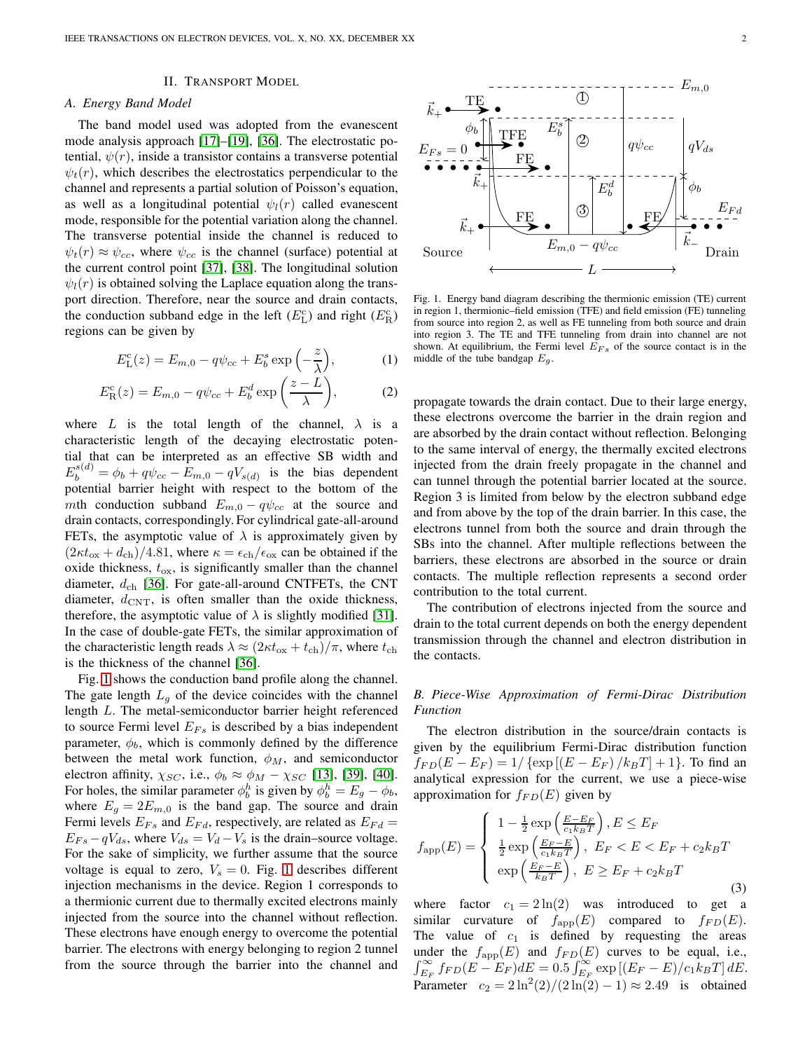# II. TRANSPORT MODEL

## *A. Energy Band Model*

The band model used was adopted from the evanescent mode analysis approach [\[17\]](#page-6-12)–[\[19\]](#page-6-22), [\[36\]](#page-6-23). The electrostatic potential,  $\psi(r)$ , inside a transistor contains a transverse potential  $\psi_t(r)$ , which describes the electrostatics perpendicular to the channel and represents a partial solution of Poisson's equation, as well as a longitudinal potential  $\psi_l(r)$  called evanescent mode, responsible for the potential variation along the channel. The transverse potential inside the channel is reduced to  $\psi_t(r) \approx \psi_{cc}$ , where  $\psi_{cc}$  is the channel (surface) potential at the current control point [\[37\]](#page-7-0), [\[38\]](#page-7-1). The longitudinal solution  $\psi_l(r)$  is obtained solving the Laplace equation along the transport direction. Therefore, near the source and drain contacts, the conduction subband edge in the left  $(E_{\text{L}}^{\text{c}})$  and right  $(E_{\text{R}}^{\text{c}})$ regions can be given by

$$
E_{\rm L}^{\rm c}(z) = E_{m,0} - q\psi_{cc} + E_b^s \exp\left(-\frac{z}{\lambda}\right),\tag{1}
$$

$$
E_{\mathcal{R}}^{c}(z) = E_{m,0} - q\psi_{cc} + E_{b}^{d} \exp\left(\frac{z-L}{\lambda}\right),\tag{2}
$$

where L is the total length of the channel,  $\lambda$  is a characteristic length of the decaying electrostatic potential that can be interpreted as an effective SB width and  $E_b^{s(d)} = \phi_b + q\psi_{cc} - E_{m,0} - qV_{s(d)}$  is the bias dependent potential barrier height with respect to the bottom of the mth conduction subband  $E_{m,0} - q\psi_{cc}$  at the source and drain contacts, correspondingly. For cylindrical gate-all-around FETs, the asymptotic value of  $\lambda$  is approximately given by  $(2\kappa t_{\rm ox} + d_{\rm ch})/4.81$ , where  $\kappa = \epsilon_{\rm ch}/\epsilon_{\rm ox}$  can be obtained if the oxide thickness,  $t_{\rm ox}$ , is significantly smaller than the channel diameter,  $d_{\rm ch}$  [\[36\]](#page-6-23). For gate-all-around CNTFETs, the CNT diameter,  $d_{\text{CNT}}$ , is often smaller than the oxide thickness, therefore, the asymptotic value of  $\lambda$  is slightly modified [\[31\]](#page-6-24). In the case of double-gate FETs, the similar approximation of the characteristic length reads  $\lambda \approx (2\kappa t_{\rm ox} + t_{\rm ch})/\pi$ , where  $t_{\rm ch}$ is the thickness of the channel [\[36\]](#page-6-23).

Fig. [1](#page-1-0) shows the conduction band profile along the channel. The gate length  $L_q$  of the device coincides with the channel length L. The metal-semiconductor barrier height referenced to source Fermi level  $E_{Fs}$  is described by a bias independent parameter,  $\phi_b$ , which is commonly defined by the difference between the metal work function,  $\phi_M$ , and semiconductor electron affinity,  $\chi_{SC}$ , i.e.,  $\phi_b \approx \phi_M - \chi_{SC}$  [\[13\]](#page-6-9), [\[39\]](#page-7-2), [\[40\]](#page-7-3). For holes, the similar parameter  $\phi_b^h$  is given by  $\phi_b^h = E_g - \phi_b$ , where  $E_q = 2E_{m,0}$  is the band gap. The source and drain Fermi levels  $E_{Fs}$  and  $E_{Fd}$ , respectively, are related as  $E_{Fd} =$  $E_{Fs} - qV_{ds}$ , where  $V_{ds} = V_d - V_s$  is the drain–source voltage. For the sake of simplicity, we further assume that the source voltage is equal to zero,  $V_s = 0$ . Fig. [1](#page-1-0) describes different injection mechanisms in the device. Region 1 corresponds to a thermionic current due to thermally excited electrons mainly injected from the source into the channel without reflection. These electrons have enough energy to overcome the potential barrier. The electrons with energy belonging to region 2 tunnel from the source through the barrier into the channel and



<span id="page-1-0"></span>Fig. 1. Energy band diagram describing the thermionic emission (TE) current in region 1, thermionic–field emission (TFE) and field emission (FE) tunneling from source into region 2, as well as FE tunneling from both source and drain into region 3. The TE and TFE tunneling from drain into channel are not shown. At equilibrium, the Fermi level  $E_{FS}$  of the source contact is in the middle of the tube bandgap  $E<sub>g</sub>$ .

propagate towards the drain contact. Due to their large energy, these electrons overcome the barrier in the drain region and are absorbed by the drain contact without reflection. Belonging to the same interval of energy, the thermally excited electrons injected from the drain freely propagate in the channel and can tunnel through the potential barrier located at the source. Region 3 is limited from below by the electron subband edge and from above by the top of the drain barrier. In this case, the electrons tunnel from both the source and drain through the SBs into the channel. After multiple reflections between the barriers, these electrons are absorbed in the source or drain contacts. The multiple reflection represents a second order contribution to the total current.

The contribution of electrons injected from the source and drain to the total current depends on both the energy dependent transmission through the channel and electron distribution in the contacts.

# *B. Piece-Wise Approximation of Fermi-Dirac Distribution Function*

The electron distribution in the source/drain contacts is given by the equilibrium Fermi-Dirac distribution function  $f_{FD}(E - E_F) = 1/\{ \exp [(E - E_F)/k_B T] + 1 \}.$  To find an analytical expression for the current, we use a piece-wise approximation for  $f_{FD}(E)$  given by

$$
f_{\rm app}(E) = \begin{cases} 1 - \frac{1}{2} \exp\left(\frac{E - E_F}{c_1 k_B T}\right), E \le E_F\\ \frac{1}{2} \exp\left(\frac{E_F - E}{c_1 k_B T}\right), E_F < E < E_F + c_2 k_B T\\ \exp\left(\frac{E_F - E}{k_B T}\right), E \ge E_F + c_2 k_B T \end{cases} \tag{3}
$$

where factor  $c_1 = 2 \ln(2)$  was introduced to get a similar curvature of  $f_{\text{app}}(E)$  compared to  $f_{FD}(E)$ . The value of  $c_1$  is defined by requesting the areas under the  $f_{\text{app}}(E)$  and  $f_{FD}(E)$  curves to be equal, i.e.,  $\int_{E_F}^{\infty} f_{FD}(E-E_F)dE = 0.5 \int_{E_F}^{\infty} \exp\left[(E_F-E)/c_1k_BT\right]dE.$ Parameter  $c_2 = 2 \ln^2(2)/(2 \ln(2) - 1) \approx 2.49$  is obtained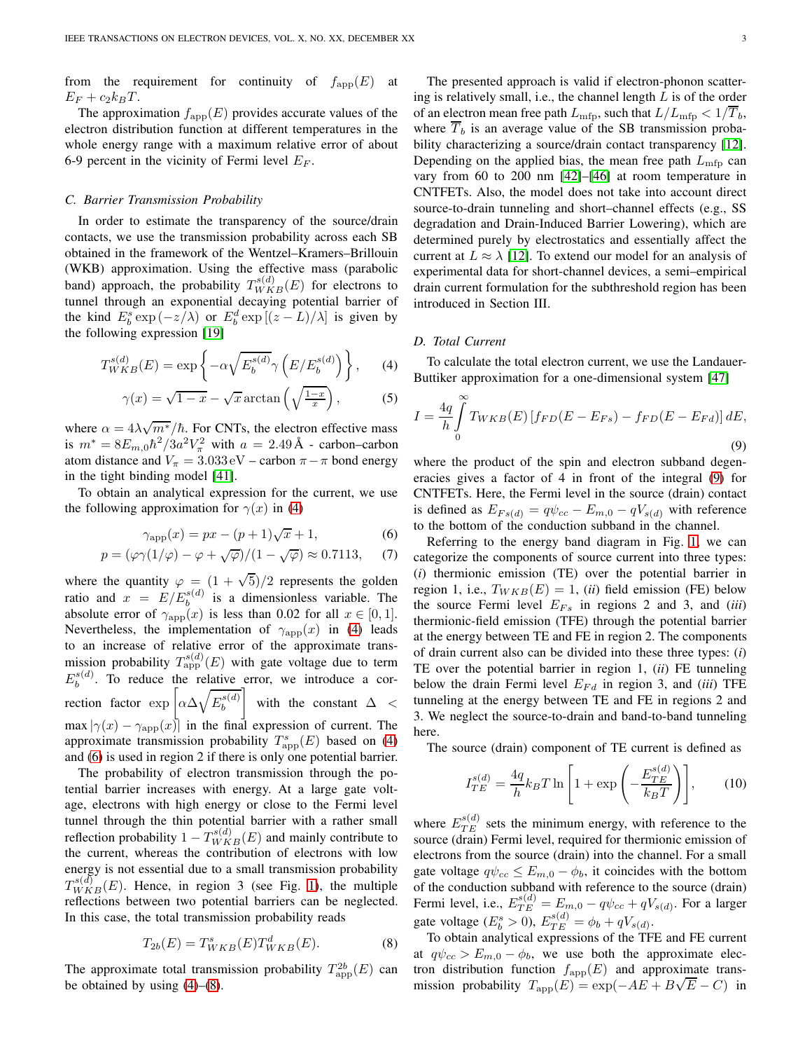from the requirement for continuity of  $f_{\text{app}}(E)$  at  $E_F + c_2k_BT$ .

The approximation  $f_{\text{app}}(E)$  provides accurate values of the electron distribution function at different temperatures in the whole energy range with a maximum relative error of about 6-9 percent in the vicinity of Fermi level  $E_F$ .

#### *C. Barrier Transmission Probability*

In order to estimate the transparency of the source/drain contacts, we use the transmission probability across each SB obtained in the framework of the Wentzel–Kramers–Brillouin (WKB) approximation. Using the effective mass (parabolic band) approach, the probability  $T_{WKB}^{s(d)}(E)$  for electrons to tunnel through an exponential decaying potential barrier of the kind  $E_b^s \exp(-z/\lambda)$  or  $E_b^d \exp[(z-L)/\lambda]$  is given by the following expression [\[19\]](#page-6-22)

<span id="page-2-0"></span>
$$
T_{WKB}^{s(d)}(E) = \exp\left\{-\alpha \sqrt{E_b^{s(d)}} \gamma \left(E/E_b^{s(d)}\right)\right\},\qquad(4)
$$

$$
\gamma(x) = \sqrt{1 - x} - \sqrt{x} \arctan\left(\sqrt{\frac{1 - x}{x}}\right),\tag{5}
$$

where  $\alpha = 4\lambda \sqrt{m^*}/\hbar$ . For CNTs, the electron effective mass is  $m^* = 8E_{m,0}\hbar^2/3a^2V_{\pi}^2$  with  $a = 2.49 \text{ Å}$  - carbon–carbon atom distance and  $V_{\pi} = 3.033 \,\text{eV} - \text{carbon } \pi - \pi$  bond energy in the tight binding model [\[41\]](#page-7-4).

To obtain an analytical expression for the current, we use the following approximation for  $\gamma(x)$  in [\(4\)](#page-2-0)

$$
\gamma_{\rm app}(x) = px - (p+1)\sqrt{x} + 1,\tag{6}
$$

<span id="page-2-1"></span>
$$
p = (\varphi \gamma (1/\varphi) - \varphi + \sqrt{\varphi})/(1 - \sqrt{\varphi}) \approx 0.7113, \quad (7)
$$

where the quantity  $\varphi = (1 + \sqrt{5})/2$  represents the golden ratio and  $x = E/E_b^{s(d)}$  is a dimensionless variable. The absolute error of  $\gamma_{\text{app}}(x)$  is less than 0.02 for all  $x \in [0,1]$ . Nevertheless, the implementation of  $\gamma_{\text{app}}(x)$  in [\(4\)](#page-2-0) leads to an increase of relative error of the approximate transmission probability  $T_{\text{app}}^{s(d)}(E)$  with gate voltage due to term  $E_b^{s(d)}$  $b<sup>s(a)</sup>$ . To reduce the relative error, we introduce a correction factor  $\exp \left[ \alpha \Delta \sqrt{E_b^{s(d)}} \right]$ b 1 with the constant  $\Delta$  <  $\max |\gamma(x) - \gamma_{\text{app}}(x)|$  in the final expression of current. The approximate transmission probability  $T_{\text{app}}^s(E)$  based on [\(4\)](#page-2-0) and [\(6\)](#page-2-1) is used in region 2 if there is only one potential barrier.

The probability of electron transmission through the potential barrier increases with energy. At a large gate voltage, electrons with high energy or close to the Fermi level tunnel through the thin potential barrier with a rather small reflection probability  $1 - T_{WKB}^{s(d)}(E)$  and mainly contribute to the current, whereas the contribution of electrons with low energy is not essential due to a small transmission probability  $T_{WKB}^{s(d)}(E)$ . Hence, in region 3 (see Fig. [1\)](#page-1-0), the multiple reflections between two potential barriers can be neglected. In this case, the total transmission probability reads

<span id="page-2-2"></span>
$$
T_{2b}(E) = T_{WKB}^s(E) T_{WKB}^d(E).
$$
 (8)

The approximate total transmission probability  $T^{2b}_{\text{app}}(E)$  can be obtained by using [\(4\)](#page-2-0)–[\(8\)](#page-2-2).

The presented approach is valid if electron-phonon scattering is relatively small, i.e., the channel length  $L$  is of the order of an electron mean free path  $L_{\text{mfp}}$ , such that  $L/L_{\text{mfp}} < 1/T_b$ , where  $\overline{T}_b$  is an average value of the SB transmission probability characterizing a source/drain contact transparency [\[12\]](#page-6-8). Depending on the applied bias, the mean free path  $L_{\rm mfp}$  can vary from 60 to 200 nm [\[42\]](#page-7-5)–[\[46\]](#page-7-6) at room temperature in CNTFETs. Also, the model does not take into account direct source-to-drain tunneling and short–channel effects (e.g., SS degradation and Drain-Induced Barrier Lowering), which are determined purely by electrostatics and essentially affect the current at  $L \approx \lambda$  [\[12\]](#page-6-8). To extend our model for an analysis of experimental data for short-channel devices, a semi–empirical drain current formulation for the subthreshold region has been introduced in Section III.

## *D. Total Current*

To calculate the total electron current, we use the Landauer-Buttiker approximation for a one-dimensional system [\[47\]](#page-7-7)

<span id="page-2-3"></span>
$$
I = \frac{4q}{h} \int_{0}^{\infty} T_{WKB}(E) \left[ f_{FD}(E - E_{Fs}) - f_{FD}(E - E_{Fd}) \right] dE,
$$
\n(9)

where the product of the spin and electron subband degeneracies gives a factor of 4 in front of the integral [\(9\)](#page-2-3) for CNTFETs. Here, the Fermi level in the source (drain) contact is defined as  $E_{Fs(d)} = q\psi_{cc} - E_{m,0} - qV_{s(d)}$  with reference to the bottom of the conduction subband in the channel.

Referring to the energy band diagram in Fig. [1,](#page-1-0) we can categorize the components of source current into three types: (*i*) thermionic emission (TE) over the potential barrier in region 1, i.e.,  $T_{WKB}(E) = 1$ , *(ii)* field emission *(FE)* below the source Fermi level  $E_{Fs}$  in regions 2 and 3, and *(iii)* thermionic-field emission (TFE) through the potential barrier at the energy between TE and FE in region 2. The components of drain current also can be divided into these three types: (*i*) TE over the potential barrier in region 1, (*ii*) FE tunneling below the drain Fermi level  $E_{Fd}$  in region 3, and *(iii)* TFE tunneling at the energy between TE and FE in regions 2 and 3. We neglect the source-to-drain and band-to-band tunneling here.

The source (drain) component of TE current is defined as

<span id="page-2-4"></span>
$$
I_{TE}^{s(d)} = \frac{4q}{h} k_B T \ln \left[ 1 + \exp\left( -\frac{E_{TE}^{s(d)}}{k_B T} \right) \right],\qquad(10)
$$

where  $E_{TE}^{s(d)}$  sets the minimum energy, with reference to the source (drain) Fermi level, required for thermionic emission of electrons from the source (drain) into the channel. For a small gate voltage  $q\psi_{cc} \leq E_{m,0} - \phi_b$ , it coincides with the bottom of the conduction subband with reference to the source (drain) Fermi level, i.e.,  $E_{TE}^{s(d)} = E_{m,0} - q\psi_{cc} + qV_{s(d)}$ . For a larger gate voltage  $(E_b^s > 0)$ ,  $E_{TE}^{s(d)} = \phi_b + qV_{s(d)}$ .

To obtain analytical expressions of the TFE and FE current at  $q\psi_{cc} > E_{m,0} - \phi_b$ , we use both the approximate electron distribution function  $f_{\text{app}}(E)$  and approximate transmission probability  $T_{\text{app}}(E) = \exp(-AE + B\sqrt{E} - C)$  in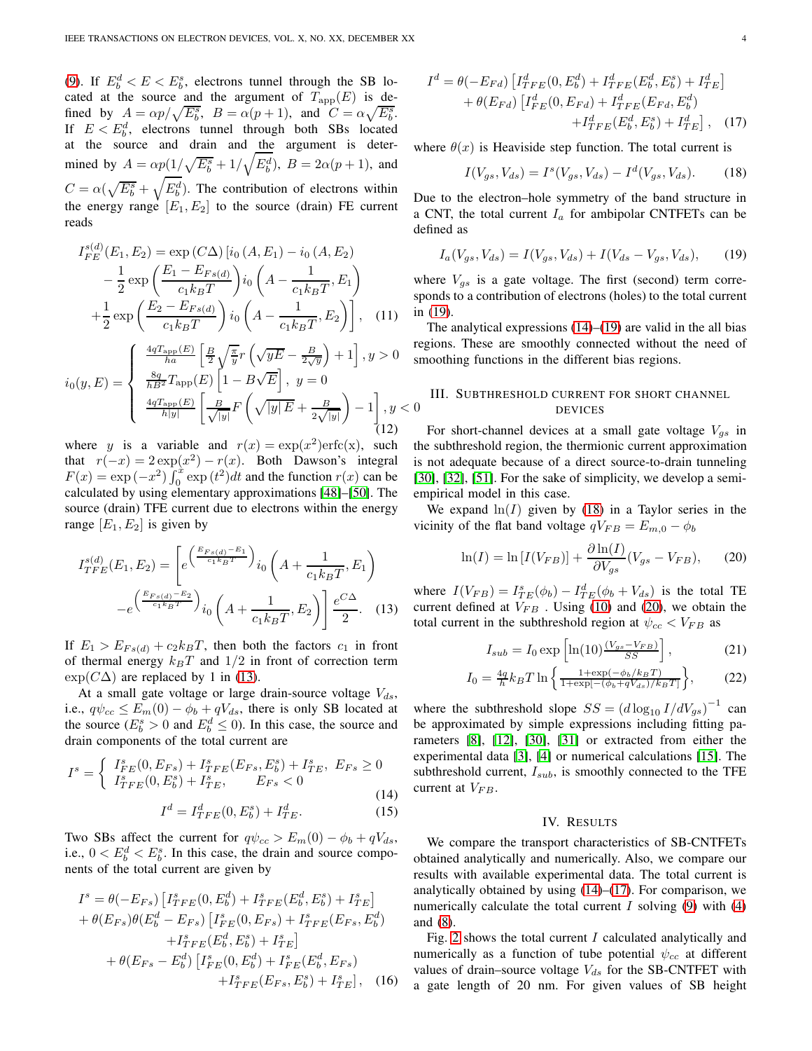[\(9\)](#page-2-3). If  $E_b^d < E < E_b^s$ , electrons tunnel through the SB located at the source and the argument of  $T_{\text{app}}(E)$  is defined by  $A = \alpha p / \sqrt{E_b^s}$ ,  $B = \alpha (p + 1)$ , and  $C = \alpha \sqrt{E_b^s}$ . If  $E < E_b^d$ , electrons tunnel through both SBs located at the source and drain and the argument is determined by  $A = \alpha p(1/\sqrt{E_b^s} + 1/\sqrt{E_b^d})$ ,  $B = 2\alpha(p+1)$ , and  $C = \alpha(\sqrt{E_b^s} + \sqrt{E_b^d})$ . The contribution of electrons within the energy range  $[E_1, E_2]$  to the source (drain) FE current reads

$$
I_{FE}^{s(d)}(E_1, E_2) = \exp(C\Delta) [i_0 (A, E_1) - i_0 (A, E_2) - \frac{1}{2} \exp\left(\frac{E_1 - E_{Fs(d)}}{c_1 k_B T}\right) i_0 \left(A - \frac{1}{c_1 k_B T}, E_1\right) + \frac{1}{2} \exp\left(\frac{E_2 - E_{Fs(d)}}{c_1 k_B T}\right) i_0 \left(A - \frac{1}{c_1 k_B T}, E_2\right)], \quad (11)
$$

$$
i_0(y, E) = \begin{cases} \frac{4qT_{\rm app}(E)}{ha} \left[ \frac{B}{2} \sqrt{\frac{\pi}{y}} r \left( \sqrt{yE} - \frac{B}{2\sqrt{y}} \right) + 1 \right], y > 0 & \text{sr} \\ \frac{8q}{hB^2} T_{\rm app}(E) \left[ 1 - B\sqrt{E} \right], y = 0 \\ \frac{4qT_{\rm app}(E)}{h|y|} \left[ \frac{B}{\sqrt{|y|}} F \left( \sqrt{|y|E} + \frac{B}{2\sqrt{|y|}} \right) - 1 \right], y < 0 \end{cases}
$$
 (12)

where y is a variable and  $r(x) = \exp(x^2) \operatorname{erfc}(x)$ , such that  $r(-x) = 2 \exp(x^2) - r(x)$ . Both Dawson's integral  $F(x) = \exp(-x^2) \int_0^x \exp(t^2) dt$  and the function  $r(x)$  can be calculated by using elementary approximations [\[48\]](#page-7-8)–[\[50\]](#page-7-9). The source (drain) TFE current due to electrons within the energy range  $[E_1, E_2]$  is given by

$$
I_{TFE}^{s(d)}(E_1, E_2) = \left[ e^{\left(\frac{E_{Fs(d)} - E_1}{c_1 k_B T}\right)} i_0 \left(A + \frac{1}{c_1 k_B T}, E_1\right) - e^{\left(\frac{E_{Fs(d)} - E_2}{c_1 k_B T}\right)} i_0 \left(A + \frac{1}{c_1 k_B T}, E_2\right) \right] \frac{e^{C\Delta}}{2}.
$$
 (13)

If  $E_1 > E_{Fs(d)} + c_2k_BT$ , then both the factors  $c_1$  in front of thermal energy  $k_BT$  and  $1/2$  in front of correction term  $\exp(C\Delta)$  are replaced by 1 in [\(13\)](#page-3-0).

At a small gate voltage or large drain-source voltage  $V_{ds}$ , i.e.,  $q\psi_{cc} \leq E_m(0) - \phi_b + qV_{ds}$ , there is only SB located at the source ( $E_b^s > 0$  and  $E_b^d \le 0$ ). In this case, the source and drain components of the total current are

<span id="page-3-2"></span>
$$
I^s = \begin{cases} I_{FE}^s(0, E_{Fs}) + I_{TFE}^s(E_{Fs}, E_b^s) + I_{TE}^s, \ E_{Fs} \ge 0\\ I_{TFE}^s(0, E_b^s) + I_{TE}^s, \ E_{Fs} < 0 \end{cases} \tag{14}
$$

$$
I^d = I_{TFE}^d(0, E_b^s) + I_{TE}^d.
$$
 (15)

Two SBs affect the current for  $q\psi_{cc} > E_m(0) - \phi_b + qV_{ds}$ , i.e.,  $0 < E_b^d < E_b^s$ . In this case, the drain and source components of the total current are given by

$$
I^s = \theta(-E_{Fs}) \left[ I_{TFE}^s(0, E_b^d) + I_{TFE}^s(E_b^d, E_b^s) + I_{TE}^s \right]
$$
  
+  $\theta(E_{Fs})\theta(E_b^d - E_{Fs}) \left[ I_{FE}^s(0, E_{Fs}) + I_{TFE}^s(E_{Fs}, E_b^d) + I_{TFE}^s(E_b^d, E_b^s) + I_{TE}^s \right]$   
+  $\theta(E_{Fs} - E_b^d) \left[ I_{FE}^s(0, E_b^d) + I_{FE}^s(E_b^d, E_{Fs}) + I_{TFE}^s(E_{Fs}, E_b^s) + I_{TE}^s \right],$  (16)

$$
I^{d} = \theta(-E_{Fd}) \left[ I_{TFE}^{d}(0, E_{b}^{d}) + I_{TFE}^{d}(E_{b}^{d}, E_{b}^{s}) + I_{TE}^{d} \right] + \theta(E_{Fd}) \left[ I_{FE}^{d}(0, E_{Fd}) + I_{TFE}^{d}(E_{Fd}, E_{b}^{d}) \right] + I_{TFE}^{d}(E_{b}^{d}, E_{b}^{s}) + I_{TE}^{d} \right], (17)
$$

where  $\theta(x)$  is Heaviside step function. The total current is

<span id="page-3-5"></span><span id="page-3-3"></span>
$$
I(V_{gs}, V_{ds}) = I^{s}(V_{gs}, V_{ds}) - I^{d}(V_{gs}, V_{ds}).
$$
 (18)

Due to the electron–hole symmetry of the band structure in a CNT, the total current  $I_a$  for ambipolar CNTFETs can be defined as

<span id="page-3-1"></span>
$$
I_a(V_{gs}, V_{ds}) = I(V_{gs}, V_{ds}) + I(V_{ds} - V_{gs}, V_{ds}), \quad (19)
$$

where  $V_{gs}$  is a gate voltage. The first (second) term corresponds to a contribution of electrons (holes) to the total current in [\(19\)](#page-3-1).

<span id="page-3-6"></span>The analytical expressions  $(14)$ – $(19)$  are valid in the all bias regions. These are smoothly connected without the need of smoothing functions in the different bias regions.

# III. SUBTHRESHOLD CURRENT FOR SHORT CHANNEL DEVICES

For short-channel devices at a small gate voltage  $V_{gs}$  in the subthreshold region, the thermionic current approximation is not adequate because of a direct source-to-drain tunneling [\[30\]](#page-6-17), [\[32\]](#page-6-18), [\[51\]](#page-7-10). For the sake of simplicity, we develop a semiempirical model in this case.

We expand  $\ln(I)$  given by [\(18\)](#page-3-3) in a Taylor series in the vicinity of the flat band voltage  $qV_{FB} = E_{m,0} - \phi_b$ 

<span id="page-3-4"></span>
$$
\ln(I) = \ln\left[I(V_{FB})\right] + \frac{\partial \ln(I)}{\partial V_{gs}}(V_{gs} - V_{FB}),\tag{20}
$$

<span id="page-3-0"></span>where  $I(V_{FB}) = I_{TE}^s(\phi_b) - I_{TE}^d(\phi_b + V_{ds})$  is the total TE current defined at  $V_{FB}$  . Using [\(10\)](#page-2-4) and [\(20\)](#page-3-4), we obtain the total current in the subthreshold region at  $\psi_{cc} < V_{FB}$  as

$$
I_{sub} = I_0 \exp\left[\ln(10) \frac{(V_{gs} - V_{FB})}{SS}\right],\tag{21}
$$

<span id="page-3-7"></span>
$$
I_0 = \frac{4q}{h} k_B T \ln \left\{ \frac{1 + \exp(-\phi_b / k_B T)}{1 + \exp[-(\phi_b + qV_{ds}) / k_B T]} \right\},\tag{22}
$$

where the subthreshold slope  $SS = (d \log_{10} I/dV_{gs})^{-1}$  can be approximated by simple expressions including fitting parameters [\[8\]](#page-6-25), [\[12\]](#page-6-8), [\[30\]](#page-6-17), [\[31\]](#page-6-24) or extracted from either the experimental data [\[3\]](#page-6-26), [\[4\]](#page-6-2) or numerical calculations [\[15\]](#page-6-27). The subthreshold current,  $I_{sub}$ , is smoothly connected to the TFE current at  $V_{FB}$ .

#### IV. RESULTS

We compare the transport characteristics of SB-CNTFETs obtained analytically and numerically. Also, we compare our results with available experimental data. The total current is analytically obtained by using  $(14)$ – $(17)$ . For comparison, we numerically calculate the total current  $I$  solving [\(9\)](#page-2-3) with [\(4\)](#page-2-0) and [\(8\)](#page-2-2).

Fig. [2](#page-4-0) shows the total current I calculated analytically and numerically as a function of tube potential  $\psi_{cc}$  at different values of drain–source voltage  $V_{ds}$  for the SB-CNTFET with a gate length of 20 nm. For given values of SB height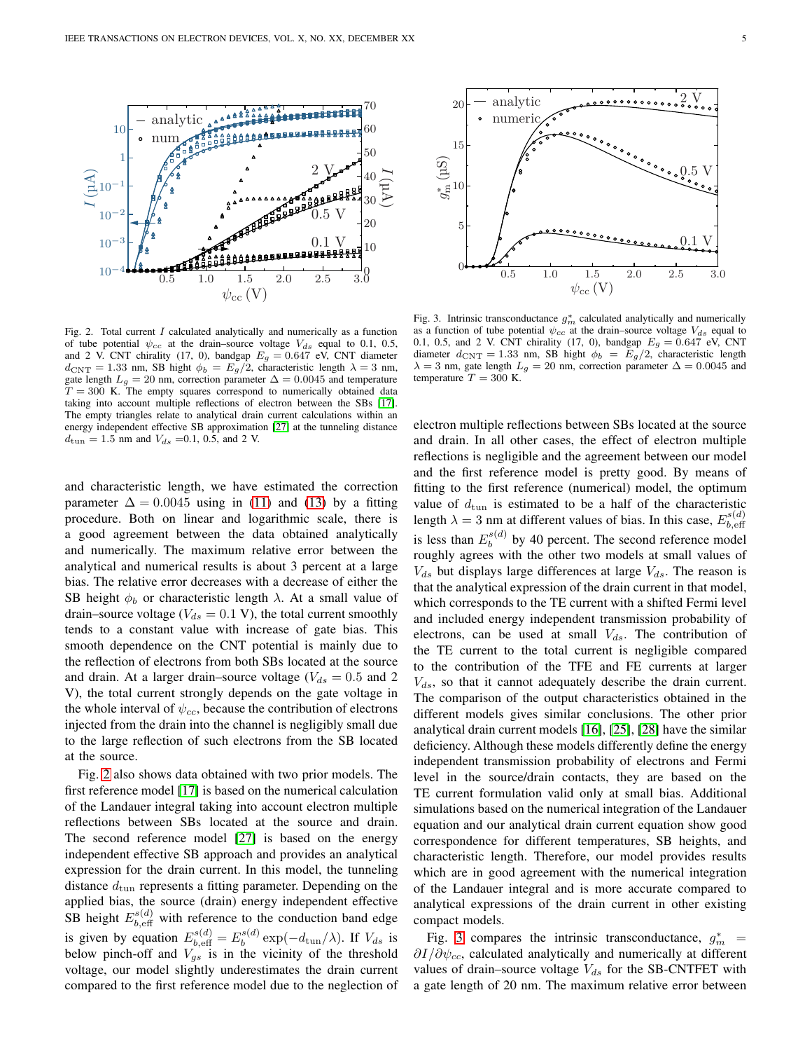

<span id="page-4-0"></span>Fig. 2. Total current  $I$  calculated analytically and numerically as a function of tube potential  $\psi_{cc}$  at the drain–source voltage  $V_{ds}$  equal to 0.1, 0.5, and 2 V. CNT chirality (17, 0), bandgap  $E_g = 0.647$  eV, CNT diameter  $d_{\text{CNT}} = 1.33$  nm, SB hight  $\phi_b = E_g/2$ , characteristic length  $\lambda = 3$  nm, gate length  $L_g = 20$  nm, correction parameter  $\Delta = 0.0045$  and temperature  $T = 300$  K. The empty squares correspond to numerically obtained data taking into account multiple reflections of electron between the SBs [\[17\]](#page-6-12). The empty triangles relate to analytical drain current calculations within an energy independent effective SB approximation [\[27\]](#page-6-28) at the tunneling distance  $d_{\text{tun}} = 1.5 \text{ nm}$  and  $V_{ds} = 0.1, 0.5, \text{ and } 2 \text{ V}$ .

and characteristic length, we have estimated the correction parameter  $\Delta = 0.0045$  using in [\(11\)](#page-3-6) and [\(13\)](#page-3-0) by a fitting procedure. Both on linear and logarithmic scale, there is a good agreement between the data obtained analytically and numerically. The maximum relative error between the analytical and numerical results is about 3 percent at a large bias. The relative error decreases with a decrease of either the SB height  $\phi_b$  or characteristic length  $\lambda$ . At a small value of drain–source voltage ( $V_{ds} = 0.1$  V), the total current smoothly tends to a constant value with increase of gate bias. This smooth dependence on the CNT potential is mainly due to the reflection of electrons from both SBs located at the source and drain. At a larger drain–source voltage ( $V_{ds} = 0.5$  and 2 V), the total current strongly depends on the gate voltage in the whole interval of  $\psi_{cc}$ , because the contribution of electrons injected from the drain into the channel is negligibly small due to the large reflection of such electrons from the SB located at the source.

Fig. [2](#page-4-0) also shows data obtained with two prior models. The first reference model [\[17\]](#page-6-12) is based on the numerical calculation of the Landauer integral taking into account electron multiple reflections between SBs located at the source and drain. The second reference model [\[27\]](#page-6-28) is based on the energy independent effective SB approach and provides an analytical expression for the drain current. In this model, the tunneling distance  $d_{\text{tun}}$  represents a fitting parameter. Depending on the applied bias, the source (drain) energy independent effective SB height  $E_{b, \text{eff}}^{s(d)}$  with reference to the conduction band edge is given by equation  $E_{b, \text{eff}}^{s(d)} = E_b^{s(d)}$  $b_b^{s(a)} \exp(-d_{\text{tun}}/\lambda)$ . If  $V_{ds}$  is below pinch-off and  $V_{gs}$  is in the vicinity of the threshold voltage, our model slightly underestimates the drain current compared to the first reference model due to the neglection of



<span id="page-4-1"></span>Fig. 3. Intrinsic transconductance  $g_m^*$  calculated analytically and numerically as a function of tube potential  $\psi_{cc}$  at the drain–source voltage  $V_{ds}$  equal to 0.1, 0.5, and 2 V. CNT chirality (17, 0), bandgap  $E<sub>g</sub> = 0.647$  eV, CNT diameter  $d_{\text{CNT}} = 1.33$  nm, SB hight  $\phi_b = E_g/2$ , characteristic length  $\lambda = 3$  nm, gate length  $L_g = 20$  nm, correction parameter  $\Delta = 0.0045$  and temperature  $T = 300$  K.

electron multiple reflections between SBs located at the source and drain. In all other cases, the effect of electron multiple reflections is negligible and the agreement between our model and the first reference model is pretty good. By means of fitting to the first reference (numerical) model, the optimum value of  $d_{\text{tun}}$  is estimated to be a half of the characteristic length  $\lambda = 3$  nm at different values of bias. In this case,  $E_{b, \text{eff}}^{s(d)}$  $_{b,\mathrm{eff}}$ is less than  $E_h^{s(d)}$  $b<sub>b</sub>$ <sup>s(a)</sup> by 40 percent. The second reference model roughly agrees with the other two models at small values of  $V_{ds}$  but displays large differences at large  $V_{ds}$ . The reason is that the analytical expression of the drain current in that model, which corresponds to the TE current with a shifted Fermi level and included energy independent transmission probability of electrons, can be used at small  $V_{ds}$ . The contribution of the TE current to the total current is negligible compared to the contribution of the TFE and FE currents at larger  $V_{ds}$ , so that it cannot adequately describe the drain current. The comparison of the output characteristics obtained in the different models gives similar conclusions. The other prior analytical drain current models [\[16\]](#page-6-11), [\[25\]](#page-6-14), [\[28\]](#page-6-15) have the similar deficiency. Although these models differently define the energy independent transmission probability of electrons and Fermi level in the source/drain contacts, they are based on the TE current formulation valid only at small bias. Additional simulations based on the numerical integration of the Landauer equation and our analytical drain current equation show good correspondence for different temperatures, SB heights, and characteristic length. Therefore, our model provides results which are in good agreement with the numerical integration of the Landauer integral and is more accurate compared to analytical expressions of the drain current in other existing compact models.

Fig. [3](#page-4-1) compares the intrinsic transconductance,  $g_m^*$  =  $\partial I/\partial \psi_{cc}$ , calculated analytically and numerically at different values of drain–source voltage  $V_{ds}$  for the SB-CNTFET with a gate length of 20 nm. The maximum relative error between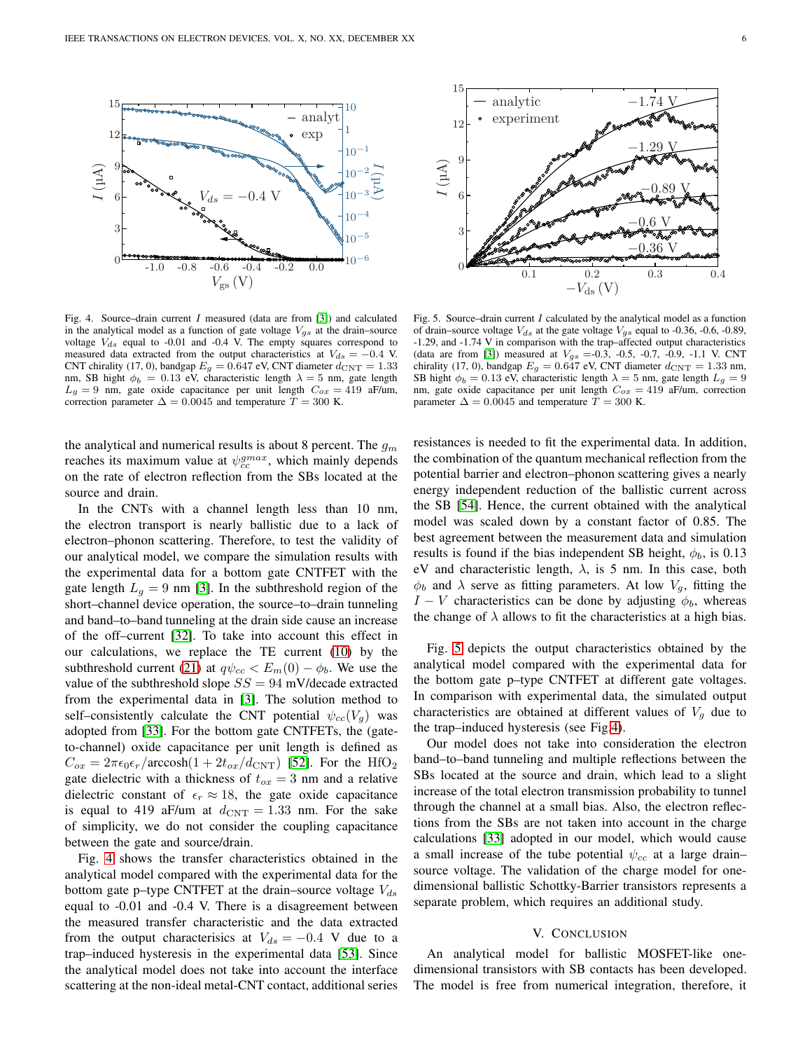

<span id="page-5-0"></span>Fig. 4. Source-drain current  $I$  measured (data are from [\[3\]](#page-6-26)) and calculated in the analytical model as a function of gate voltage  $V_{gs}$  at the drain–source voltage  $V_{ds}$  equal to -0.01 and -0.4 V. The empty squares correspond to measured data extracted from the output characteristics at  $V_{ds} = -0.4$  V. CNT chirality (17, 0), bandgap  $E<sub>g</sub> = 0.647$  eV, CNT diameter  $d_{\text{CNT}} = 1.33$ nm, SB hight  $\phi_b = 0.13$  eV, characteristic length  $\lambda = 5$  nm, gate length  $L_q = 9$  nm, gate oxide capacitance per unit length  $C_{ox} = 419$  aF/um, correction parameter  $\Delta = 0.0045$  and temperature  $T = 300$  K.

the analytical and numerical results is about 8 percent. The  $g_m$ reaches its maximum value at  $\psi_{cc}^{gmax}$ , which mainly depends on the rate of electron reflection from the SBs located at the source and drain.

In the CNTs with a channel length less than 10 nm, the electron transport is nearly ballistic due to a lack of electron–phonon scattering. Therefore, to test the validity of our analytical model, we compare the simulation results with the experimental data for a bottom gate CNTFET with the gate length  $L_g = 9$  nm [\[3\]](#page-6-26). In the subthreshold region of the short–channel device operation, the source–to–drain tunneling and band–to–band tunneling at the drain side cause an increase of the off–current [\[32\]](#page-6-18). To take into account this effect in our calculations, we replace the TE current [\(10\)](#page-2-4) by the subthreshold current [\(21\)](#page-3-7) at  $q\psi_{cc} < E_m(0) - \phi_b$ . We use the value of the subthreshold slope  $SS = 94$  mV/decade extracted from the experimental data in [\[3\]](#page-6-26). The solution method to self–consistently calculate the CNT potential  $\psi_{cc}(V_q)$  was adopted from [\[33\]](#page-6-19). For the bottom gate CNTFETs, the (gateto-channel) oxide capacitance per unit length is defined as  $C_{ox} = 2\pi\epsilon_0\epsilon_r/arccosh(1+2t_{ox}/d_{\text{CNT}})$  [\[52\]](#page-7-11). For the HfO<sub>2</sub> gate dielectric with a thickness of  $t_{ox} = 3$  nm and a relative dielectric constant of  $\epsilon_r \approx 18$ , the gate oxide capacitance is equal to 419 aF/um at  $d_{\text{CNT}} = 1.33$  nm. For the sake of simplicity, we do not consider the coupling capacitance between the gate and source/drain.

Fig. [4](#page-5-0) shows the transfer characteristics obtained in the analytical model compared with the experimental data for the bottom gate p–type CNTFET at the drain–source voltage  $V_{ds}$ equal to -0.01 and -0.4 V. There is a disagreement between the measured transfer characteristic and the data extracted from the output characterisics at  $V_{ds} = -0.4$  V due to a trap–induced hysteresis in the experimental data [\[53\]](#page-7-12). Since the analytical model does not take into account the interface scattering at the non-ideal metal-CNT contact, additional series



<span id="page-5-1"></span>Fig. 5. Source–drain current  $I$  calculated by the analytical model as a function of drain–source voltage  $V_{ds}$  at the gate voltage  $V_{gs}$  equal to -0.36, -0.6, -0.89, -1.29, and -1.74 V in comparison with the trap–affected output characteristics (data are from [\[3\]](#page-6-26)) measured at  $V_{gs} = -0.3$ ,  $-0.5$ ,  $-0.7$ ,  $-0.9$ ,  $-1.1$  V. CNT chirality (17, 0), bandgap  $E_g = 0.647$  eV, CNT diameter  $d_{\text{CNT}} = 1.33$  nm, SB hight  $\phi_b = 0.13$  eV, characteristic length  $\lambda = 5$  nm, gate length  $L_q = 9$ nm, gate oxide capacitance per unit length  $C_{ox} = 419$  aF/um, correction parameter  $\Delta = 0.0045$  and temperature  $T = 300$  K.

resistances is needed to fit the experimental data. In addition, the combination of the quantum mechanical reflection from the potential barrier and electron–phonon scattering gives a nearly energy independent reduction of the ballistic current across the SB [\[54\]](#page-7-13). Hence, the current obtained with the analytical model was scaled down by a constant factor of 0.85. The best agreement between the measurement data and simulation results is found if the bias independent SB height,  $\phi_b$ , is 0.13 eV and characteristic length,  $\lambda$ , is 5 nm. In this case, both  $\phi_b$  and  $\lambda$  serve as fitting parameters. At low  $V_a$ , fitting the  $I - V$  characteristics can be done by adjusting  $\phi_b$ , whereas the change of  $\lambda$  allows to fit the characteristics at a high bias.

Fig. [5](#page-5-1) depicts the output characteristics obtained by the analytical model compared with the experimental data for the bottom gate p–type CNTFET at different gate voltages. In comparison with experimental data, the simulated output characteristics are obtained at different values of  $V_q$  due to the trap–induced hysteresis (see Fig[.4\)](#page-5-0).

Our model does not take into consideration the electron band–to–band tunneling and multiple reflections between the SBs located at the source and drain, which lead to a slight increase of the total electron transmission probability to tunnel through the channel at a small bias. Also, the electron reflections from the SBs are not taken into account in the charge calculations [\[33\]](#page-6-19) adopted in our model, which would cause a small increase of the tube potential  $\psi_{cc}$  at a large drain– source voltage. The validation of the charge model for onedimensional ballistic Schottky-Barrier transistors represents a separate problem, which requires an additional study.

## V. CONCLUSION

An analytical model for ballistic MOSFET-like onedimensional transistors with SB contacts has been developed. The model is free from numerical integration, therefore, it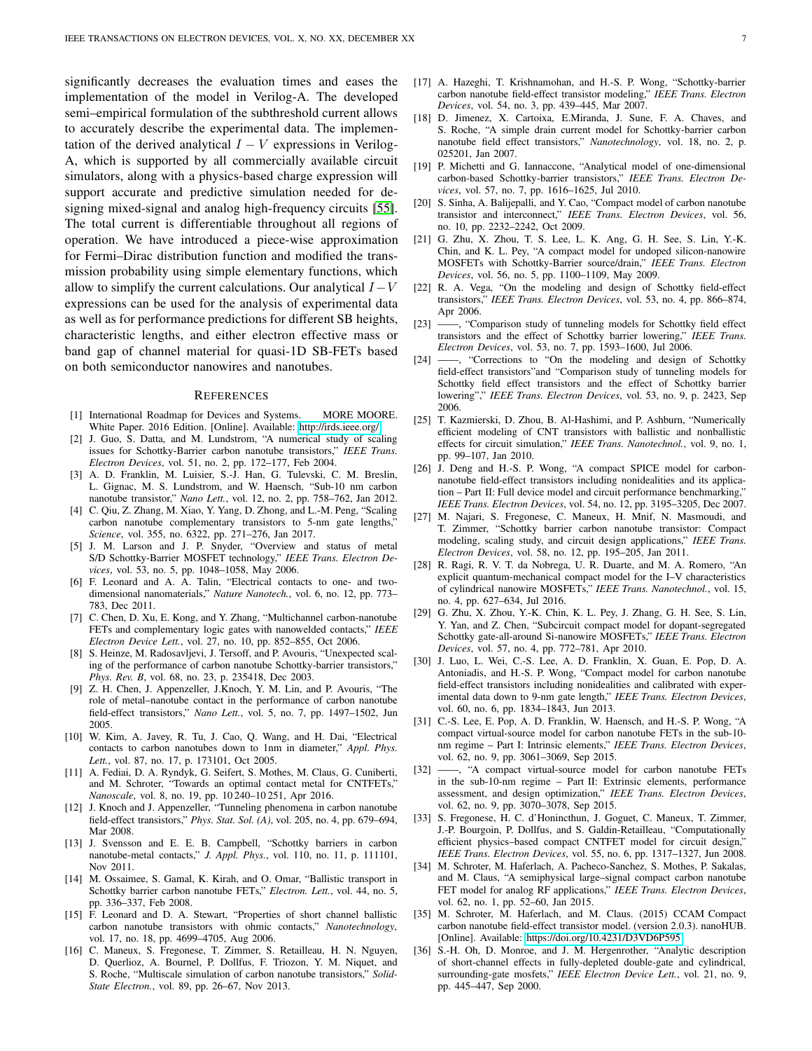significantly decreases the evaluation times and eases the implementation of the model in Verilog-A. The developed semi–empirical formulation of the subthreshold current allows to accurately describe the experimental data. The implementation of the derived analytical  $I - V$  expressions in Verilog-A, which is supported by all commercially available circuit simulators, along with a physics-based charge expression will support accurate and predictive simulation needed for designing mixed-signal and analog high-frequency circuits [\[55\]](#page-7-14). The total current is differentiable throughout all regions of operation. We have introduced a piece-wise approximation for Fermi–Dirac distribution function and modified the transmission probability using simple elementary functions, which allow to simplify the current calculations. Our analytical  $I-V$ expressions can be used for the analysis of experimental data as well as for performance predictions for different SB heights, characteristic lengths, and either electron effective mass or band gap of channel material for quasi-1D SB-FETs based on both semiconductor nanowires and nanotubes.

### **REFERENCES**

- <span id="page-6-0"></span>[1] International Roadmap for Devices and Systems. MORE MOORE. White Paper. 2016 Edition. [Online]. Available:<http://irds.ieee.org/>
- <span id="page-6-1"></span>[2] J. Guo, S. Datta, and M. Lundstrom, "A numerical study of scaling issues for Schottky-Barrier carbon nanotube transistors," *IEEE Trans. Electron Devices*, vol. 51, no. 2, pp. 172–177, Feb 2004.
- <span id="page-6-26"></span>[3] A. D. Franklin, M. Luisier, S.-J. Han, G. Tulevski, C. M. Breslin, L. Gignac, M. S. Lundstrom, and W. Haensch, "Sub-10 nm carbon nanotube transistor," *Nano Lett.*, vol. 12, no. 2, pp. 758–762, Jan 2012.
- <span id="page-6-2"></span>[4] C. Qiu, Z. Zhang, M. Xiao, Y. Yang, D. Zhong, and L.-M. Peng, "Scaling carbon nanotube complementary transistors to 5-nm gate lengths," *Science*, vol. 355, no. 6322, pp. 271–276, Jan 2017.
- <span id="page-6-3"></span>[5] J. M. Larson and J. P. Snyder, "Overview and status of metal S/D Schottky-Barrier MOSFET technology," *IEEE Trans. Electron Devices*, vol. 53, no. 5, pp. 1048–1058, May 2006.
- <span id="page-6-4"></span>[6] F. Leonard and A. A. Talin, "Electrical contacts to one- and twodimensional nanomaterials," *Nature Nanotech.*, vol. 6, no. 12, pp. 773– 783, Dec 2011.
- <span id="page-6-5"></span>[7] C. Chen, D. Xu, E. Kong, and Y. Zhang, "Multichannel carbon-nanotube FETs and complementary logic gates with nanowelded contacts," *IEEE Electron Device Lett.*, vol. 27, no. 10, pp. 852–855, Oct 2006.
- <span id="page-6-25"></span>[8] S. Heinze, M. Radosavljevi, J. Tersoff, and P. Avouris, "Unexpected scaling of the performance of carbon nanotube Schottky-barrier transistors," *Phys. Rev. B*, vol. 68, no. 23, p. 235418, Dec 2003.
- <span id="page-6-6"></span>[9] Z. H. Chen, J. Appenzeller, J.Knoch, Y. M. Lin, and P. Avouris, "The role of metal–nanotube contact in the performance of carbon nanotube field-effect transistors," *Nano Lett.*, vol. 5, no. 7, pp. 1497–1502, Jun 2005.
- [10] W. Kim, A. Javey, R. Tu, J. Cao, Q. Wang, and H. Dai, "Electrical contacts to carbon nanotubes down to 1nm in diameter," *Appl. Phys. Lett.*, vol. 87, no. 17, p. 173101, Oct 2005.
- <span id="page-6-7"></span>[11] A. Fediai, D. A. Ryndyk, G. Seifert, S. Mothes, M. Claus, G. Cuniberti, and M. Schroter, "Towards an optimal contact metal for CNTFETs," *Nanoscale*, vol. 8, no. 19, pp. 10 240–10 251, Apr 2016.
- <span id="page-6-8"></span>[12] J. Knoch and J. Appenzeller, "Tunneling phenomena in carbon nanotube field-effect transistors," *Phys. Stat. Sol. (A)*, vol. 205, no. 4, pp. 679–694, Mar 2008.
- <span id="page-6-9"></span>[13] J. Svensson and E. E. B. Campbell, "Schottky barriers in carbon nanotube-metal contacts," *J. Appl. Phys.*, vol. 110, no. 11, p. 111101, Nov 2011.
- <span id="page-6-10"></span>[14] M. Ossaimee, S. Gamal, K. Kirah, and O. Omar, "Ballistic transport in Schottky barrier carbon nanotube FETs," *Electron. Lett.*, vol. 44, no. 5, pp. 336–337, Feb 2008.
- <span id="page-6-27"></span>[15] F. Leonard and D. A. Stewart, "Properties of short channel ballistic carbon nanotube transistors with ohmic contacts," *Nanotechnology*, vol. 17, no. 18, pp. 4699–4705, Aug 2006.
- <span id="page-6-11"></span>[16] C. Maneux, S. Fregonese, T. Zimmer, S. Retailleau, H. N. Nguyen, D. Querlioz, A. Bournel, P. Dollfus, F. Triozon, Y. M. Niquet, and S. Roche, "Multiscale simulation of carbon nanotube transistors," *Solid-State Electron.*, vol. 89, pp. 26–67, Nov 2013.
- <span id="page-6-12"></span>[17] A. Hazeghi, T. Krishnamohan, and H.-S. P. Wong, "Schottky-barrier carbon nanotube field-effect transistor modeling," *IEEE Trans. Electron Devices*, vol. 54, no. 3, pp. 439–445, Mar 2007.
- [18] D. Jimenez, X. Cartoixa, E.Miranda, J. Sune, F. A. Chaves, and S. Roche, "A simple drain current model for Schottky-barrier carbon nanotube field effect transistors," *Nanotechnology*, vol. 18, no. 2, p. 025201, Jan 2007.
- <span id="page-6-22"></span>[19] P. Michetti and G. Iannaccone, "Analytical model of one-dimensional carbon-based Schottky-barrier transistors," *IEEE Trans. Electron Devices*, vol. 57, no. 7, pp. 1616–1625, Jul 2010.
- [20] S. Sinha, A. Balijepalli, and Y. Cao, "Compact model of carbon nanotube transistor and interconnect," *IEEE Trans. Electron Devices*, vol. 56, no. 10, pp. 2232–2242, Oct 2009.
- [21] G. Zhu, X. Zhou, T. S. Lee, L. K. Ang, G. H. See, S. Lin, Y.-K. Chin, and K. L. Pey, "A compact model for undoped silicon-nanowire MOSFETs with Schottky-Barrier source/drain," *IEEE Trans. Electron Devices*, vol. 56, no. 5, pp. 1100–1109, May 2009.
- [22] R. A. Vega, "On the modeling and design of Schottky field-effect transistors," *IEEE Trans. Electron Devices*, vol. 53, no. 4, pp. 866–874, Apr 2006.
- [23] -, "Comparison study of tunneling models for Schottky field effect transistors and the effect of Schottky barrier lowering," *IEEE Trans. Electron Devices*, vol. 53, no. 7, pp. 1593–1600, Jul 2006.
- <span id="page-6-13"></span>[24] ——, "Corrections to "On the modeling and design of Schottky field-effect transistors"and "Comparison study of tunneling models for Schottky field effect transistors and the effect of Schottky barrier lowering"," *IEEE Trans. Electron Devices*, vol. 53, no. 9, p. 2423, Sep 2006.
- <span id="page-6-14"></span>[25] T. Kazmierski, D. Zhou, B. Al-Hashimi, and P. Ashburn, "Numerically efficient modeling of CNT transistors with ballistic and nonballistic effects for circuit simulation," *IEEE Trans. Nanotechnol.*, vol. 9, no. 1, pp. 99–107, Jan 2010.
- [26] J. Deng and H.-S. P. Wong, "A compact SPICE model for carbonnanotube field-effect transistors including nonidealities and its application – Part II: Full device model and circuit performance benchmarking," *IEEE Trans. Electron Devices*, vol. 54, no. 12, pp. 3195–3205, Dec 2007.
- <span id="page-6-28"></span>[27] M. Najari, S. Fregonese, C. Maneux, H. Mnif, N. Masmoudi, and T. Zimmer, "Schottky barrier carbon nanotube transistor: Compact modeling, scaling study, and circuit design applications," *IEEE Trans. Electron Devices*, vol. 58, no. 12, pp. 195–205, Jan 2011.
- <span id="page-6-15"></span>[28] R. Ragi, R. V. T. da Nobrega, U. R. Duarte, and M. A. Romero, "An explicit quantum-mechanical compact model for the I–V characteristics of cylindrical nanowire MOSFETs," *IEEE Trans. Nanotechnol.*, vol. 15, no. 4, pp. 627–634, Jul 2016.
- <span id="page-6-16"></span>[29] G. Zhu, X. Zhou, Y.-K. Chin, K. L. Pey, J. Zhang, G. H. See, S. Lin, Y. Yan, and Z. Chen, "Subcircuit compact model for dopant-segregated Schottky gate-all-around Si-nanowire MOSFETs," *IEEE Trans. Electron Devices*, vol. 57, no. 4, pp. 772–781, Apr 2010.
- <span id="page-6-17"></span>[30] J. Luo, L. Wei, C.-S. Lee, A. D. Franklin, X. Guan, E. Pop, D. A. Antoniadis, and H.-S. P. Wong, "Compact model for carbon nanotube field-effect transistors including nonidealities and calibrated with experimental data down to 9-nm gate length," *IEEE Trans. Electron Devices*, vol. 60, no. 6, pp. 1834–1843, Jun 2013.
- <span id="page-6-24"></span>[31] C.-S. Lee, E. Pop, A. D. Franklin, W. Haensch, and H.-S. P. Wong, "A compact virtual-source model for carbon nanotube FETs in the sub-10 nm regime – Part I: Intrinsic elements," *IEEE Trans. Electron Devices*, vol. 62, no. 9, pp. 3061–3069, Sep 2015.
- <span id="page-6-18"></span>[32] ——, "A compact virtual-source model for carbon nanotube FETs in the sub-10-nm regime – Part II: Extrinsic elements, performance assessment, and design optimization," *IEEE Trans. Electron Devices*, vol. 62, no. 9, pp. 3070–3078, Sep 2015.
- <span id="page-6-19"></span>[33] S. Fregonese, H. C. d'Honincthun, J. Goguet, C. Maneux, T. Zimmer, J.-P. Bourgoin, P. Dollfus, and S. Galdin-Retailleau, "Computationally efficient physics–based compact CNTFET model for circuit design," *IEEE Trans. Electron Devices*, vol. 55, no. 6, pp. 1317–1327, Jun 2008.
- <span id="page-6-20"></span>[34] M. Schroter, M. Haferlach, A. Pacheco-Sanchez, S. Mothes, P. Sakalas, and M. Claus, "A semiphysical large–signal compact carbon nanotube FET model for analog RF applications," *IEEE Trans. Electron Devices*, vol. 62, no. 1, pp. 52–60, Jan 2015.
- <span id="page-6-21"></span>[35] M. Schroter, M. Haferlach, and M. Claus. (2015) CCAM Compact carbon nanotube field-effect transistor model. (version 2.0.3). nanoHUB. [Online]. Available:<https://doi.org/10.4231/D3VD6P595>
- <span id="page-6-23"></span>[36] S.-H. Oh, D. Monroe, and J. M. Hergenrother, "Analytic description of short-channel effects in fully-depleted double-gate and cylindrical, surrounding-gate mosfets," *IEEE Electron Device Lett.*, vol. 21, no. 9, pp. 445–447, Sep 2000.